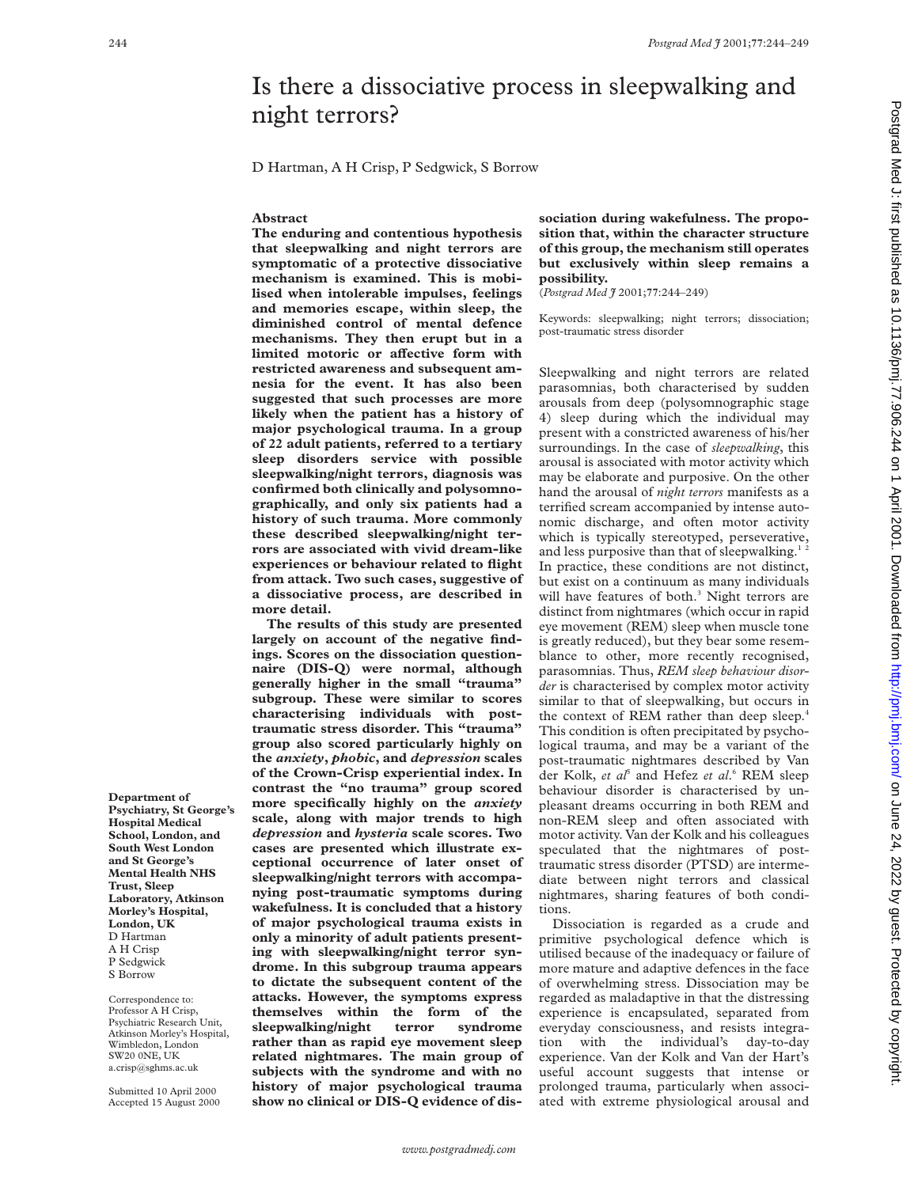# Is there a dissociative process in sleepwalking and night terrors?

D Hartman, A H Crisp, P Sedgwick, S Borrow

#### **Abstract**

**The enduring and contentious hypothesis that sleepwalking and night terrors are symptomatic of a protective dissociative mechanism is examined. This is mobilised when intolerable impulses, feelings and memories escape, within sleep, the diminished control of mental defence mechanisms. They then erupt but in a** limited motoric or affective form with **restricted awareness and subsequent amnesia for the event. It has also been suggested that such processes are more likely when the patient has a history of major psychological trauma. In a group of 22 adult patients, referred to a tertiary sleep disorders service with possible sleepwalking/night terrors, diagnosis was confirmed both clinically and polysomnographically, and only six patients had a history of such trauma. More commonly these described sleepwalking/night terrors are associated with vivid dream-like experiences or behaviour related to flight from attack. Two such cases, suggestive of a dissociative process, are described in more detail.**

**The results of this study are presented largely on account of the negative findings. Scores on the dissociation questionnaire (DIS-Q) were normal, although generally higher in the small "trauma" subgroup. These were similar to scores characterising individuals with posttraumatic stress disorder. This "trauma" group also scored particularly highly on the** *anxiety***,** *phobic***, and** *depression* **scales of the Crown-Crisp experiential index. In contrast the "no trauma" group scored more specifically highly on the** *anxiety* **scale, along with major trends to high** *depression* **and** *hysteria* **scale scores. Two cases are presented which illustrate exceptional occurrence of later onset of sleepwalking/night terrors with accompanying post-traumatic symptoms during wakefulness. It is concluded that a history of major psychological trauma exists in only a minority of adult patients presenting with sleepwalking/night terror syndrome. In this subgroup trauma appears to dictate the subsequent content of the attacks. However, the symptoms express themselves within the form of the sleepwalking/night terror syndrome rather than as rapid eye movement sleep related nightmares. The main group of subjects with the syndrome and with no history of major psychological trauma show no clinical or DIS-Q evidence of dis-**

**sociation during wakefulness. The proposition that, within the character structure of this group, the mechanism still operates but exclusively within sleep remains a possibility.**

(*Postgrad Med J* 2001;**77**:244–249)

Keywords: sleepwalking; night terrors; dissociation; post-traumatic stress disorder

Sleepwalking and night terrors are related parasomnias, both characterised by sudden arousals from deep (polysomnographic stage 4) sleep during which the individual may present with a constricted awareness of his/her surroundings. In the case of *sleepwalking*, this arousal is associated with motor activity which may be elaborate and purposive. On the other hand the arousal of *night terrors* manifests as a terrified scream accompanied by intense autonomic discharge, and often motor activity which is typically stereotyped, perseverative, and less purposive than that of sleepwalking.<sup>1</sup> In practice, these conditions are not distinct, but exist on a continuum as many individuals will have features of both. $3$  Night terrors are distinct from nightmares (which occur in rapid eye movement (REM) sleep when muscle tone is greatly reduced), but they bear some resemblance to other, more recently recognised, parasomnias. Thus, *REM sleep behaviour disorder* is characterised by complex motor activity similar to that of sleepwalking, but occurs in the context of REM rather than deep sleep.<sup>4</sup> This condition is often precipitated by psychological trauma, and may be a variant of the post-traumatic nightmares described by Van der Kolk, *et al*<sup>5</sup> and Hefez *et al*. <sup>6</sup> REM sleep behaviour disorder is characterised by unpleasant dreams occurring in both REM and non-REM sleep and often associated with motor activity. Van der Kolk and his colleagues speculated that the nightmares of posttraumatic stress disorder (PTSD) are intermediate between night terrors and classical nightmares, sharing features of both conditions.

Dissociation is regarded as a crude and primitive psychological defence which is utilised because of the inadequacy or failure of more mature and adaptive defences in the face of overwhelming stress. Dissociation may be regarded as maladaptive in that the distressing experience is encapsulated, separated from everyday consciousness, and resists integration with the individual's day-to-day experience. Van der Kolk and Van der Hart's useful account suggests that intense or prolonged trauma, particularly when associated with extreme physiological arousal and

**Department of Psychiatry, St George's Hospital Medical School, London, and South West London and St George's Mental Health NHS Trust, Sleep Laboratory, Atkinson Morley's Hospital, London, UK** D Hartman A H Crisp P Sedgwick S Borrow

Correspondence to: Professor A H Crisp, Psychiatric Research Unit, Atkinson Morley's Hospital, Wimbledon, London SW20 0NE, UK a.crisp@sghms.ac.uk

Submitted 10 April 2000 Accepted 15 August 2000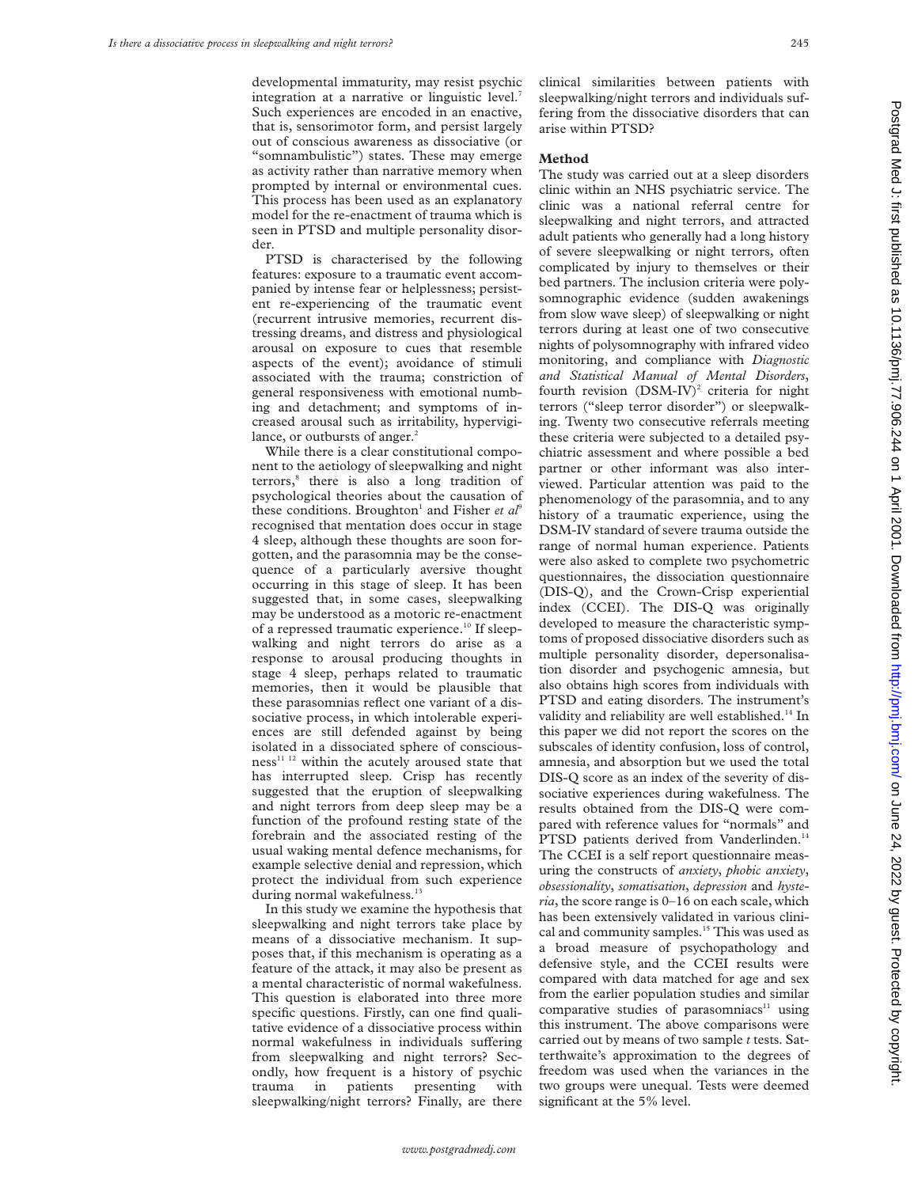developmental immaturity, may resist psychic integration at a narrative or linguistic level.<sup>7</sup> Such experiences are encoded in an enactive, that is, sensorimotor form, and persist largely out of conscious awareness as dissociative (or "somnambulistic") states. These may emerge as activity rather than narrative memory when prompted by internal or environmental cues. This process has been used as an explanatory model for the re-enactment of trauma which is seen in PTSD and multiple personality disorder.

PTSD is characterised by the following features: exposure to a traumatic event accompanied by intense fear or helplessness; persistent re-experiencing of the traumatic event (recurrent intrusive memories, recurrent distressing dreams, and distress and physiological arousal on exposure to cues that resemble aspects of the event); avoidance of stimuli associated with the trauma; constriction of general responsiveness with emotional numbing and detachment; and symptoms of increased arousal such as irritability, hypervigilance, or outbursts of anger.<sup>2</sup>

While there is a clear constitutional component to the aetiology of sleepwalking and night terrors,<sup>8</sup> there is also a long tradition of psychological theories about the causation of these conditions. Broughton<sup>1</sup> and Fisher *et al*<sup>9</sup> recognised that mentation does occur in stage 4 sleep, although these thoughts are soon forgotten, and the parasomnia may be the consequence of a particularly aversive thought occurring in this stage of sleep. It has been suggested that, in some cases, sleepwalking may be understood as a motoric re-enactment of a repressed traumatic experience.<sup>10</sup> If sleepwalking and night terrors do arise as a response to arousal producing thoughts in stage 4 sleep, perhaps related to traumatic memories, then it would be plausible that these parasomnias reflect one variant of a dissociative process, in which intolerable experiences are still defended against by being isolated in a dissociated sphere of consciousness<sup>11 12</sup> within the acutely aroused state that has interrupted sleep. Crisp has recently suggested that the eruption of sleepwalking and night terrors from deep sleep may be a function of the profound resting state of the forebrain and the associated resting of the usual waking mental defence mechanisms, for example selective denial and repression, which protect the individual from such experience during normal wakefulness. $1$ 

In this study we examine the hypothesis that sleepwalking and night terrors take place by means of a dissociative mechanism. It supposes that, if this mechanism is operating as a feature of the attack, it may also be present as a mental characteristic of normal wakefulness. This question is elaborated into three more specific questions. Firstly, can one find qualitative evidence of a dissociative process within normal wakefulness in individuals suffering from sleepwalking and night terrors? Secondly, how frequent is a history of psychic trauma in patients presenting with sleepwalking/night terrors? Finally, are there

The study was carried out at a sleep disorders

# **Method**

clinic within an NHS psychiatric service. The clinic was a national referral centre for sleepwalking and night terrors, and attracted adult patients who generally had a long history of severe sleepwalking or night terrors, often complicated by injury to themselves or their bed partners. The inclusion criteria were polysomnographic evidence (sudden awakenings from slow wave sleep) of sleepwalking or night terrors during at least one of two consecutive nights of polysomnography with infrared video monitoring, and compliance with *Diagnostic and Statistical Manual of Mental Disorders*, fourth revision  $(DSM-IV)^2$  criteria for night terrors ("sleep terror disorder") or sleepwalking. Twenty two consecutive referrals meeting these criteria were subjected to a detailed psychiatric assessment and where possible a bed partner or other informant was also interviewed. Particular attention was paid to the phenomenology of the parasomnia, and to any history of a traumatic experience, using the DSM-IV standard of severe trauma outside the range of normal human experience. Patients were also asked to complete two psychometric questionnaires, the dissociation questionnaire (DIS-Q), and the Crown-Crisp experiential index (CCEI). The DIS-Q was originally developed to measure the characteristic symptoms of proposed dissociative disorders such as multiple personality disorder, depersonalisation disorder and psychogenic amnesia, but also obtains high scores from individuals with PTSD and eating disorders. The instrument's validity and reliability are well established.<sup>14</sup> In this paper we did not report the scores on the subscales of identity confusion, loss of control, amnesia, and absorption but we used the total DIS-Q score as an index of the severity of dissociative experiences during wakefulness. The results obtained from the DIS-Q were compared with reference values for "normals" and PTSD patients derived from Vanderlinden.<sup>14</sup> The CCEI is a self report questionnaire measuring the constructs of *anxiety*, *phobic anxiety*, *obsessionality*, *somatisation*, *depression* and *hysteria*, the score range is 0–16 on each scale, which has been extensively validated in various clinical and community samples.<sup>15</sup> This was used as a broad measure of psychopathology and defensive style, and the CCEI results were compared with data matched for age and sex from the earlier population studies and similar comparative studies of parasomniacs<sup>11</sup> using this instrument. The above comparisons were carried out by means of two sample *t* tests. Satterthwaite's approximation to the degrees of freedom was used when the variances in the two groups were unequal. Tests were deemed significant at the 5% level.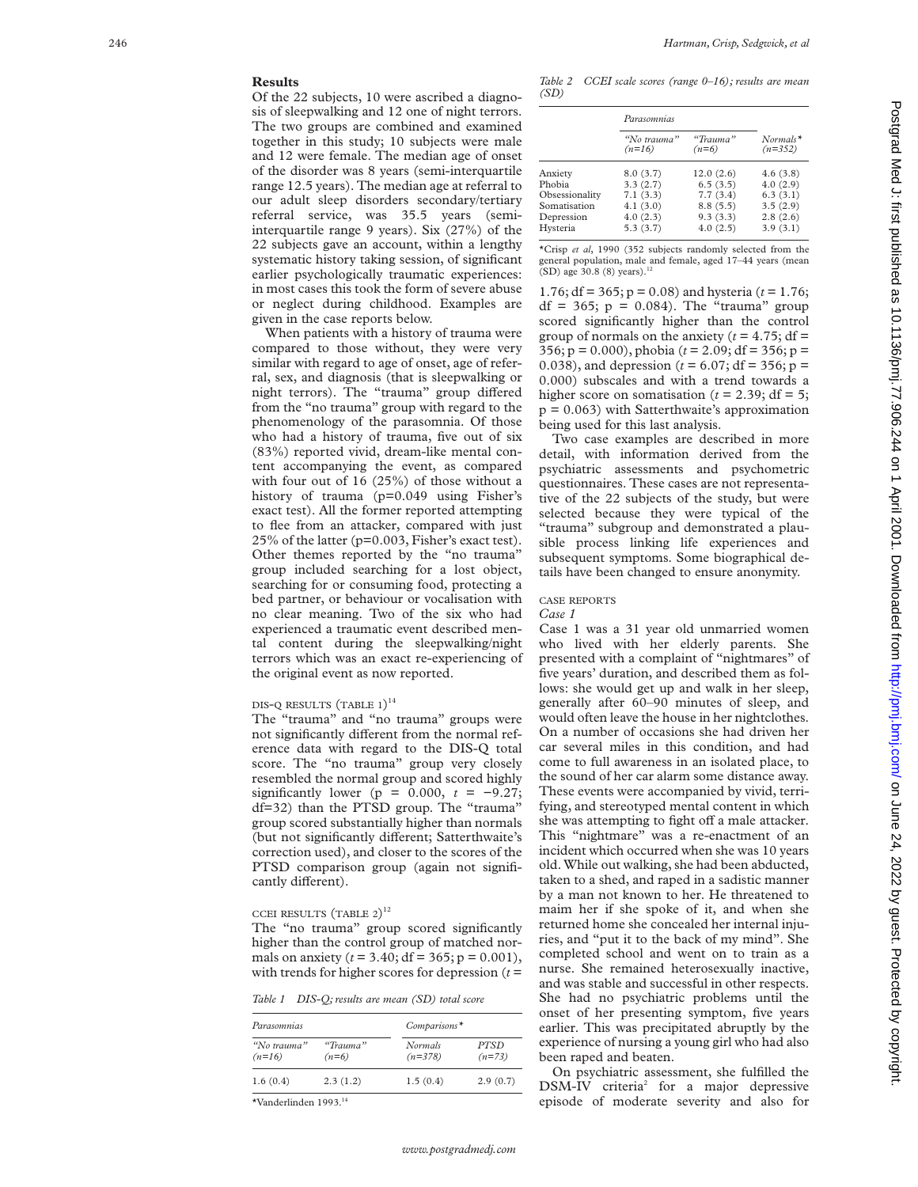#### **Results**

Of the 22 subjects, 10 were ascribed a diagnosis of sleepwalking and 12 one of night terrors. The two groups are combined and examined together in this study; 10 subjects were male and 12 were female. The median age of onset of the disorder was 8 years (semi-interquartile range 12.5 years). The median age at referral to our adult sleep disorders secondary/tertiary referral service, was 35.5 years (semiinterquartile range 9 years). Six (27%) of the 22 subjects gave an account, within a lengthy systematic history taking session, of significant earlier psychologically traumatic experiences: in most cases this took the form of severe abuse or neglect during childhood. Examples are given in the case reports below.

When patients with a history of trauma were compared to those without, they were very similar with regard to age of onset, age of referral, sex, and diagnosis (that is sleepwalking or night terrors). The "trauma" group differed from the "no trauma" group with regard to the phenomenology of the parasomnia. Of those who had a history of trauma, five out of six (83%) reported vivid, dream-like mental content accompanying the event, as compared with four out of 16 (25%) of those without a history of trauma (p=0.049 using Fisher's exact test). All the former reported attempting to flee from an attacker, compared with just 25% of the latter (p=0.003, Fisher's exact test). Other themes reported by the "no trauma" group included searching for a lost object, searching for or consuming food, protecting a bed partner, or behaviour or vocalisation with no clear meaning. Two of the six who had experienced a traumatic event described mental content during the sleepwalking/night terrors which was an exact re-experiencing of the original event as now reported.

## DIS-Q RESULTS (TABLE 1)<sup>14</sup>

The "trauma" and "no trauma" groups were not significantly different from the normal reference data with regard to the DIS-Q total score. The "no trauma" group very closely resembled the normal group and scored highly significantly lower ( $p = 0.000$ ,  $t = -9.27$ ; df=32) than the PTSD group. The "trauma" group scored substantially higher than normals (but not significantly different; Satterthwaite's correction used), and closer to the scores of the PTSD comparison group (again not significantly different).

### CCEI RESULTS  $(TABLE 2)^{12}$

The "no trauma" group scored significantly higher than the control group of matched normals on anxiety ( $t = 3.40$ ; df = 365; p = 0.001), with trends for higher scores for depression ( *t* =

*Table 1 DIS-Q; results are mean (SD) total score*

| Parasomnias             |                     | $Comparisons*$              |                         |
|-------------------------|---------------------|-----------------------------|-------------------------|
| "No trauma"<br>$(n=16)$ | "Trauma"<br>$(n=6)$ | <i>Normals</i><br>$(n=378)$ | <b>PTSD</b><br>$(n=73)$ |
| 1.6(0.4)                | 2.3(1.2)            | 1.5(0.4)                    | 2.9(0.7)                |

\*Vanderlinden 1993.14

*Table 2 CCEI scale scores (range 0–16); results are mean (SD)*

|                | Parasomnias             |                     |                          |
|----------------|-------------------------|---------------------|--------------------------|
|                | "No trauma"<br>$(n=16)$ | "Trauma"<br>$(n=6)$ | $Normals^*$<br>$(n=352)$ |
| Anxiety        | 8.0(3.7)                | 12.0(2.6)           | 4.6(3.8)                 |
| Phobia         | 3.3(2.7)                | 6.5(3.5)            | 4.0(2.9)                 |
| Obsessionality | 7.1(3.3)                | 7.7(3.4)            | 6.3(3.1)                 |
| Somatisation   | 4.1(3.0)                | 8.8(5.5)            | 3.5(2.9)                 |
| Depression     | 4.0(2.3)                | 9.3(3.3)            | 2.8(2.6)                 |
| Hysteria       | 5.3(3.7)                | 4.0(2.5)            | 3.9(3.1)                 |
|                |                         |                     |                          |

\*Crisp *et al*, 1990 (352 subjects randomly selected from the general population, male and female, aged 17–44 years (mean (SD) age  $30.8$  (8) years).<sup>1</sup>

1.76; df = 365; p = 0.08) and hysteria ( *t* = 1.76;  $df = 365$ ;  $p = 0.084$ ). The "trauma" group scored significantly higher than the control group of normals on the anxiety  $(t = 4.75; df =$ 356; p = 0.000), phobia ( *t* = 2.09; df = 356; p = 0.038), and depression ( $t = 6.07$ ; df = 356; p = 0.000) subscales and with a trend towards a higher score on somatisation  $(t = 2.39; df = 5;$  $p = 0.063$ ) with Satterthwaite's approximation being used for this last analysis.

Two case examples are described in more detail, with information derived from the psychiatric assessments and psychometric questionnaires. These cases are not representative of the 22 subjects of the study, but were selected because they were typical of the "trauma" subgroup and demonstrated a plausible process linking life experiences and subsequent symptoms. Some biographical details have been changed to ensure anonymity.

# CASE REPORTS

# *Case 1*

Case 1 was a 31 year old unmarried women who lived with her elderly parents. She presented with a complaint of "nightmares" of five years' duration, and described them as follows: she would get up and walk in her sleep, generally after 60–90 minutes of sleep, and would often leave the house in her nightclothes. On a number of occasions she had driven her car several miles in this condition, and had come to full awareness in an isolated place, to the sound of her car alarm some distance away. These events were accompanied by vivid, terrifying, and stereotyped mental content in which she was attempting to fight off a male attacker. This "nightmare" was a re-enactment of an incident which occurred when she was 10 years old. While out walking, she had been abducted, taken to a shed, and raped in a sadistic manner by a man not known to her. He threatened to maim her if she spoke of it, and when she returned home she concealed her internal injuries, and "put it to the back of my mind". She completed school and went on to train as a nurse. She remained heterosexually inactive, and was stable and successful in other respects. She had no psychiatric problems until the onset of her presenting symptom, five years earlier. This was precipitated abruptly by the experience of nursing a young girl who had also been raped and beaten.

On psychiatric assessment, she fulfilled the DSM-IV criteria <sup>2</sup> for a major depressive episode of moderate severity and also for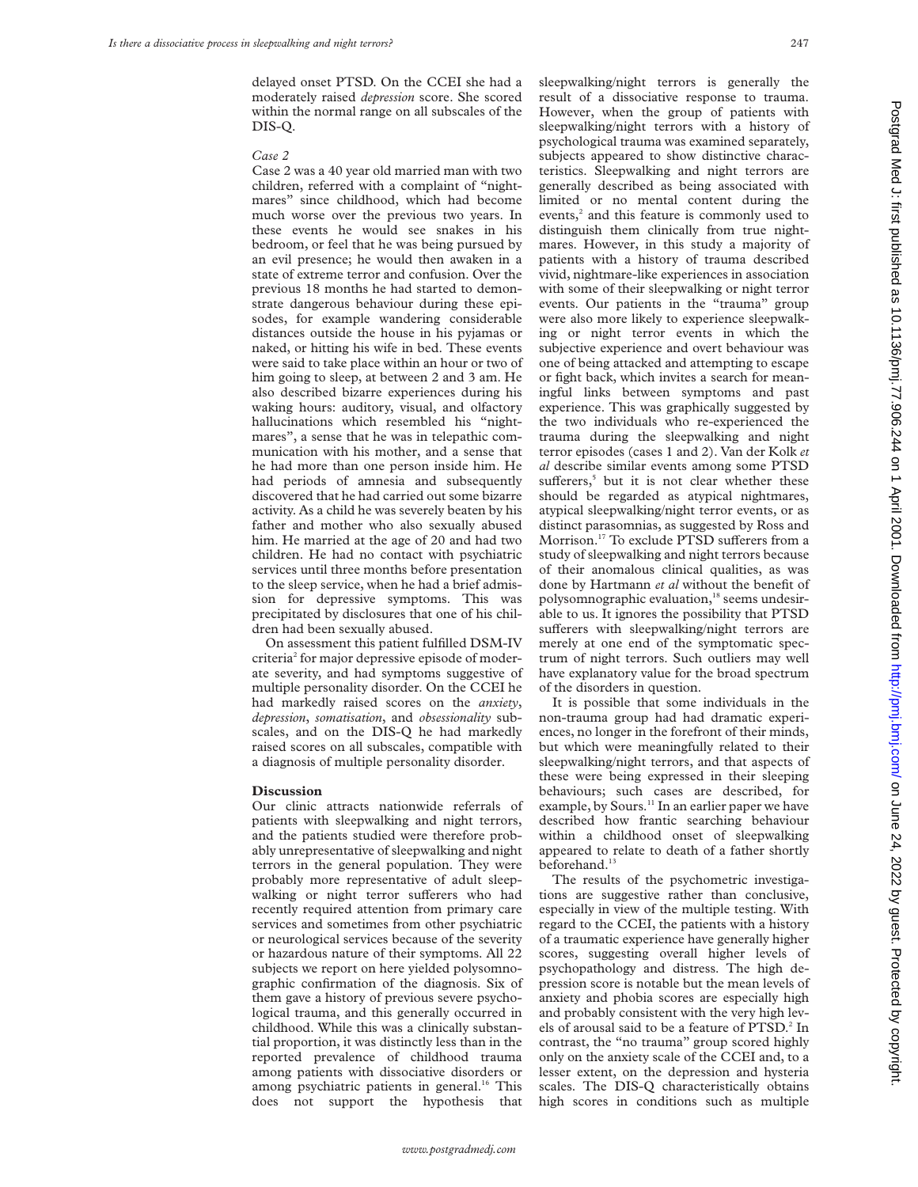delayed onset PTSD. On the CCEI she had a moderately raised *depression* score. She scored within the normal range on all subscales of the DIS-Q.

#### *Case 2*

Case 2 was a 40 year old married man with two children, referred with a complaint of "nightmares" since childhood, which had become much worse over the previous two years. In these events he would see snakes in his bedroom, or feel that he was being pursued by an evil presence; he would then awaken in a state of extreme terror and confusion. Over the previous 18 months he had started to demonstrate dangerous behaviour during these episodes, for example wandering considerable distances outside the house in his pyjamas or naked, or hitting his wife in bed. These events were said to take place within an hour or two of him going to sleep, at between 2 and 3 am. He also described bizarre experiences during his waking hours: auditory, visual, and olfactory hallucinations which resembled his "nightmares", a sense that he was in telepathic communication with his mother, and a sense that he had more than one person inside him. He had periods of amnesia and subsequently discovered that he had carried out some bizarre activity. As a child he was severely beaten by his father and mother who also sexually abused him. He married at the age of 20 and had two children. He had no contact with psychiatric services until three months before presentation to the sleep service, when he had a brief admission for depressive symptoms. This was precipitated by disclosures that one of his children had been sexually abused.

On assessment this patient fulfilled DSM-IV criteria<sup>2</sup> for major depressive episode of moderate severity, and had symptoms suggestive of multiple personality disorder. On the CCEI he had markedly raised scores on the *anxiety*, *depression*, *somatisation*, and *obsessionality* subscales, and on the DIS-Q he had markedly raised scores on all subscales, compatible with a diagnosis of multiple personality disorder.

## **Discussion**

Our clinic attracts nationwide referrals of patients with sleepwalking and night terrors, and the patients studied were therefore probably unrepresentative of sleepwalking and night terrors in the general population. They were probably more representative of adult sleepwalking or night terror sufferers who had recently required attention from primary care services and sometimes from other psychiatric or neurological services because of the severity or hazardous nature of their symptoms. All 22 subjects we report on here yielded polysomnographic confirmation of the diagnosis. Six of them gave a history of previous severe psychological trauma, and this generally occurred in childhood. While this was a clinically substantial proportion, it was distinctly less than in the reported prevalence of childhood trauma among patients with dissociative disorders or among psychiatric patients in general.<sup>16</sup> This does not support the hypothesis that

sleepwalking/night terrors is generally the result of a dissociative response to trauma. However, when the group of patients with sleepwalking/night terrors with a history of psychological trauma was examined separately, subjects appeared to show distinctive characteristics. Sleepwalking and night terrors are generally described as being associated with limited or no mental content during the events,<sup>2</sup> and this feature is commonly used to distinguish them clinically from true nightmares. However, in this study a majority of patients with a history of trauma described vivid, nightmare-like experiences in association with some of their sleepwalking or night terror events. Our patients in the "trauma" group were also more likely to experience sleepwalking or night terror events in which the subjective experience and overt behaviour was one of being attacked and attempting to escape or fight back, which invites a search for meaningful links between symptoms and past experience. This was graphically suggested by the two individuals who re-experienced the trauma during the sleepwalking and night terror episodes (cases 1 and 2). Van der Kolk *et al* describe similar events among some PTSD sufferers,<sup>5</sup> but it is not clear whether these should be regarded as atypical nightmares, atypical sleepwalking/night terror events, or as distinct parasomnias, as suggested by Ross and Morrison.<sup>17</sup> To exclude PTSD sufferers from a study of sleepwalking and night terrors because of their anomalous clinical qualities, as was done by Hartmann *et al* without the benefit of polysomnographic evaluation,<sup>18</sup> seems undesirable to us. It ignores the possibility that PTSD sufferers with sleepwalking/night terrors are merely at one end of the symptomatic spectrum of night terrors. Such outliers may well have explanatory value for the broad spectrum of the disorders in question.

It is possible that some individuals in the non-trauma group had had dramatic experiences, no longer in the forefront of their minds, but which were meaningfully related to their sleepwalking/night terrors, and that aspects of these were being expressed in their sleeping behaviours; such cases are described, for example, by Sours.<sup>11</sup> In an earlier paper we have described how frantic searching behaviour within a childhood onset of sleepwalking appeared to relate to death of a father shortly beforehand.<sup>13</sup>

The results of the psychometric investigations are suggestive rather than conclusive, especially in view of the multiple testing. With regard to the CCEI, the patients with a history of a traumatic experience have generally higher scores, suggesting overall higher levels of psychopathology and distress. The high depression score is notable but the mean levels of anxiety and phobia scores are especially high and probably consistent with the very high levels of arousal said to be a feature of PTSD.<sup>2</sup> In contrast, the "no trauma" group scored highly only on the anxiety scale of the CCEI and, to a lesser extent, on the depression and hysteria scales. The DIS-Q characteristically obtains high scores in conditions such as multiple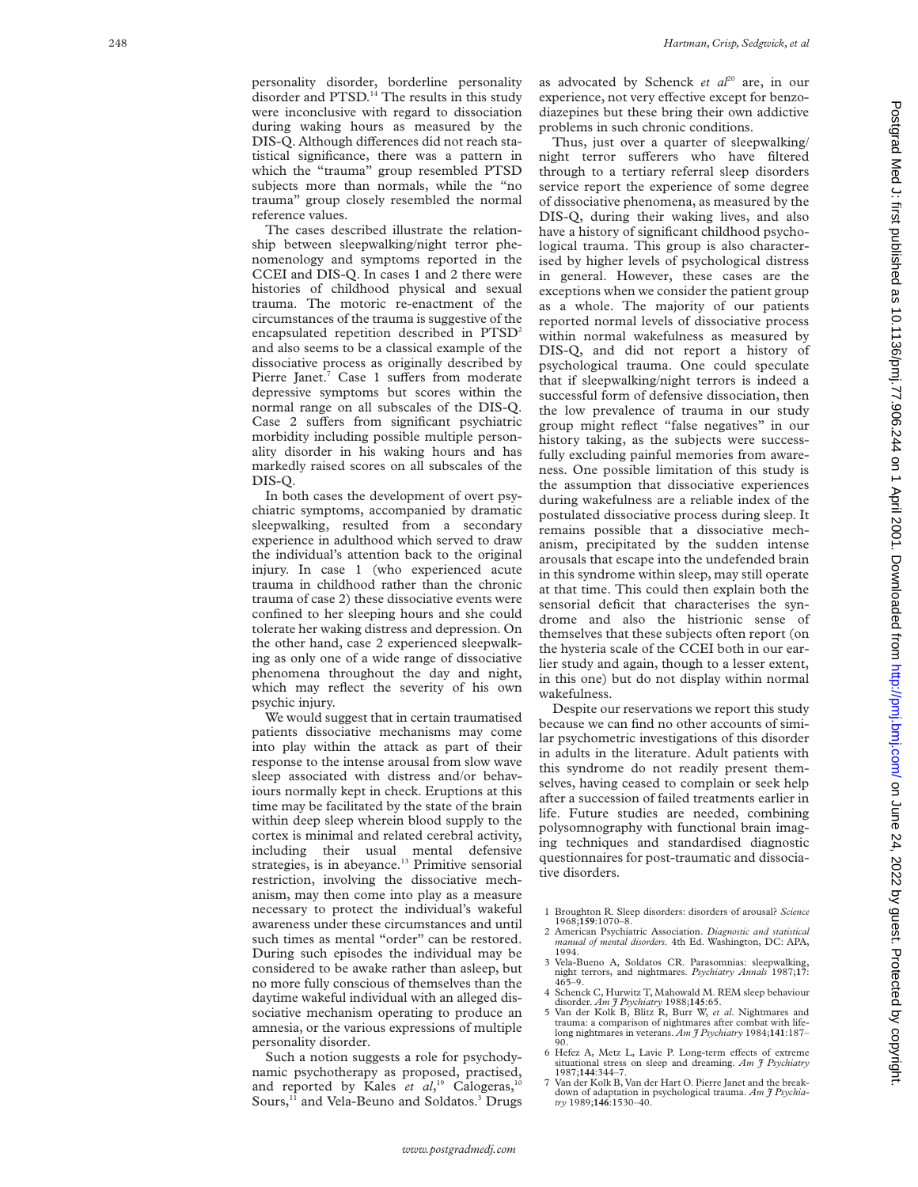personality disorder, borderline personality disorder and PTSD.<sup>14</sup> The results in this study were inconclusive with regard to dissociation during waking hours as measured by the DIS-Q. Although differences did not reach statistical significance, there was a pattern in which the "trauma" group resembled PTSD subjects more than normals, while the "no trauma" group closely resembled the normal reference values.

The cases described illustrate the relationship between sleepwalking/night terror phenomenology and symptoms reported in the CCEI and DIS-Q. In cases 1 and 2 there were histories of childhood physical and sexual trauma. The motoric re-enactment of the circumstances of the trauma is suggestive of the encapsulated repetition described in PTSD<sup>2</sup> and also seems to be a classical example of the dissociative process as originally described by Pierre Janet.<sup>7</sup> Case 1 suffers from moderate depressive symptoms but scores within the normal range on all subscales of the DIS-Q. Case 2 suffers from significant psychiatric morbidity including possible multiple personality disorder in his waking hours and has markedly raised scores on all subscales of the DIS-Q.

In both cases the development of overt psychiatric symptoms, accompanied by dramatic sleepwalking, resulted from a secondary experience in adulthood which served to draw the individual's attention back to the original injury. In case 1 (who experienced acute trauma in childhood rather than the chronic trauma of case 2) these dissociative events were confined to her sleeping hours and she could tolerate her waking distress and depression. On the other hand, case 2 experienced sleepwalking as only one of a wide range of dissociative phenomena throughout the day and night, which may reflect the severity of his own psychic injury.

We would suggest that in certain traumatised patients dissociative mechanisms may come into play within the attack as part of their response to the intense arousal from slow wave sleep associated with distress and/or behaviours normally kept in check. Eruptions at this time may be facilitated by the state of the brain within deep sleep wherein blood supply to the cortex is minimal and related cerebral activity, including their usual mental defensive strategies, is in abeyance.<sup>13</sup> Primitive sensorial restriction, involving the dissociative mechanism, may then come into play as a measure necessary to protect the individual's wakeful awareness under these circumstances and until such times as mental "order" can be restored. During such episodes the individual may be considered to be awake rather than asleep, but no more fully conscious of themselves than the daytime wakeful individual with an alleged dissociative mechanism operating to produce an amnesia, or the various expressions of multiple personality disorder.

Such a notion suggests a role for psychodynamic psychotherapy as proposed, practised, and reported by Kales *et al*,<sup>19</sup> Calogeras,<sup>10</sup> Sours,<sup>11</sup> and Vela-Beuno and Soldatos.<sup>3</sup> Drugs as advocated by Schenck et al<sup>20</sup> are, in our experience, not very effective except for benzodiazepines but these bring their own addictive problems in such chronic conditions.

Thus, just over a quarter of sleepwalking/ night terror sufferers who have filtered through to a tertiary referral sleep disorders service report the experience of some degree of dissociative phenomena, as measured by the DIS-Q, during their waking lives, and also have a history of significant childhood psychological trauma. This group is also characterised by higher levels of psychological distress in general. However, these cases are the exceptions when we consider the patient group as a whole. The majority of our patients reported normal levels of dissociative process within normal wakefulness as measured by DIS-Q, and did not report a history of psychological trauma. One could speculate that if sleepwalking/night terrors is indeed a successful form of defensive dissociation, then the low prevalence of trauma in our study group might reflect "false negatives" in our history taking, as the subjects were successfully excluding painful memories from awareness. One possible limitation of this study is the assumption that dissociative experiences during wakefulness are a reliable index of the postulated dissociative process during sleep. It remains possible that a dissociative mechanism, precipitated by the sudden intense arousals that escape into the undefended brain in this syndrome within sleep, may still operate at that time. This could then explain both the sensorial deficit that characterises the syndrome and also the histrionic sense of themselves that these subjects often report (on the hysteria scale of the CCEI both in our earlier study and again, though to a lesser extent, in this one) but do not display within normal wakefulness.

Despite our reservations we report this study because we can find no other accounts of similar psychometric investigations of this disorder in adults in the literature. Adult patients with this syndrome do not readily present themselves, having ceased to complain or seek help after a succession of failed treatments earlier in life. Future studies are needed, combining polysomnography with functional brain imaging techniques and standardised diagnostic questionnaires for post-traumatic and dissociative disorders.

- 1 Broughton R. Sleep disorders: disorders of arousal? *Science* 1968;**159**:1070–8.
- 2 American Psychiatric Association. *Diagnostic and statistical manual of mental disorders.* 4th Ed. Washington, DC: APA, 1994.
- 3 Vela-Bueno A, Soldatos CR. Parasomnias: sleepwalking, night terrors, and nightmares. *Psychiatry Annals* 1987;**17** : 465–9.
- 4 Schenck C, Hurwitz T, Mahowald M. REM sleep behaviour disorder. *Am J Psychiatry* 1988;**145**:65. 5 Van der Kolk B, Blitz R, Burr W, *et al*. Nightmares and
- trauma: a comparison of nightmares after combat with lifelong nightmares in veterans. *Am J Psychiatry* 1984;**141**:187–  $90^{\circ}$
- 6 Hefez A, Metz L, Lavie P. Long-term effects of extreme situational stress on sleep and dreaming. *Am J Psychiatry*
- 1987;**144**:344–7. 7 Van der Kolk B, Van der Hart O. Pierre Janet and the breakdown of adaptation in psychological trauma. *Am J Psychiatry* 1989;**146**:1530–40.